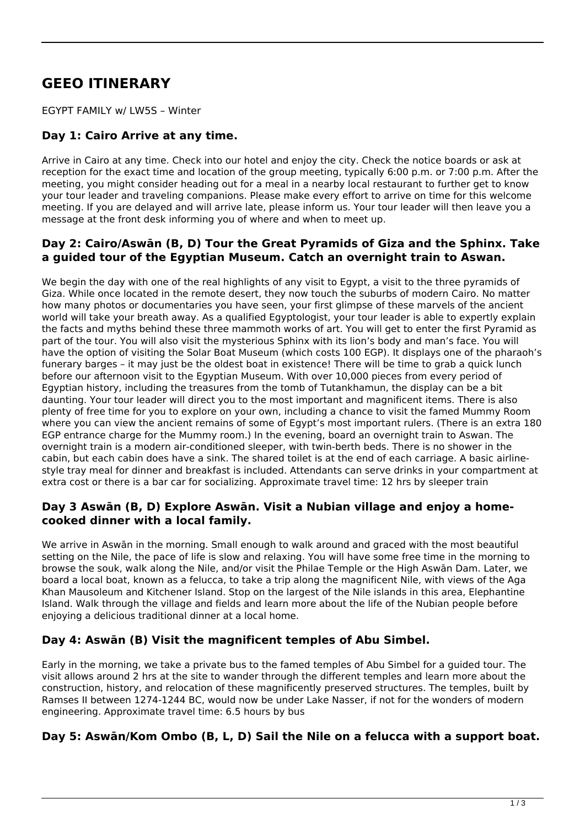# **GEEO ITINERARY**

EGYPT FAMILY w/ LW5S – Winter

# **Day 1: Cairo Arrive at any time.**

Arrive in Cairo at any time. Check into our hotel and enjoy the city. Check the notice boards or ask at reception for the exact time and location of the group meeting, typically 6:00 p.m. or 7:00 p.m. After the meeting, you might consider heading out for a meal in a nearby local restaurant to further get to know your tour leader and traveling companions. Please make every effort to arrive on time for this welcome meeting. If you are delayed and will arrive late, please inform us. Your tour leader will then leave you a message at the front desk informing you of where and when to meet up.

#### **Day 2: Cairo/Aswān (B, D) Tour the Great Pyramids of Giza and the Sphinx. Take a guided tour of the Egyptian Museum. Catch an overnight train to Aswan.**

We begin the day with one of the real highlights of any visit to Egypt, a visit to the three pyramids of Giza. While once located in the remote desert, they now touch the suburbs of modern Cairo. No matter how many photos or documentaries you have seen, your first glimpse of these marvels of the ancient world will take your breath away. As a qualified Egyptologist, your tour leader is able to expertly explain the facts and myths behind these three mammoth works of art. You will get to enter the first Pyramid as part of the tour. You will also visit the mysterious Sphinx with its lion's body and man's face. You will have the option of visiting the Solar Boat Museum (which costs 100 EGP). It displays one of the pharaoh's funerary barges – it may just be the oldest boat in existence! There will be time to grab a quick lunch before our afternoon visit to the Egyptian Museum. With over 10,000 pieces from every period of Egyptian history, including the treasures from the tomb of Tutankhamun, the display can be a bit daunting. Your tour leader will direct you to the most important and magnificent items. There is also plenty of free time for you to explore on your own, including a chance to visit the famed Mummy Room where you can view the ancient remains of some of Egypt's most important rulers. (There is an extra 180 EGP entrance charge for the Mummy room.) In the evening, board an overnight train to Aswan. The overnight train is a modern air-conditioned sleeper, with twin-berth beds. There is no shower in the cabin, but each cabin does have a sink. The shared toilet is at the end of each carriage. A basic airlinestyle tray meal for dinner and breakfast is included. Attendants can serve drinks in your compartment at extra cost or there is a bar car for socializing. Approximate travel time: 12 hrs by sleeper train

## **Day 3 Aswān (B, D) Explore Aswān. Visit a Nubian village and enjoy a homecooked dinner with a local family.**

We arrive in Aswān in the morning. Small enough to walk around and graced with the most beautiful setting on the Nile, the pace of life is slow and relaxing. You will have some free time in the morning to browse the souk, walk along the Nile, and/or visit the Philae Temple or the High Aswān Dam. Later, we board a local boat, known as a felucca, to take a trip along the magnificent Nile, with views of the Aga Khan Mausoleum and Kitchener Island. Stop on the largest of the Nile islands in this area, Elephantine Island. Walk through the village and fields and learn more about the life of the Nubian people before enjoying a delicious traditional dinner at a local home.

# **Day 4: Aswān (B) Visit the magnificent temples of Abu Simbel.**

Early in the morning, we take a private bus to the famed temples of Abu Simbel for a guided tour. The visit allows around 2 hrs at the site to wander through the different temples and learn more about the construction, history, and relocation of these magnificently preserved structures. The temples, built by Ramses II between 1274-1244 BC, would now be under Lake Nasser, if not for the wonders of modern engineering. Approximate travel time: 6.5 hours by bus

#### **Day 5: Aswān/Kom Ombo (B, L, D) Sail the Nile on a felucca with a support boat.**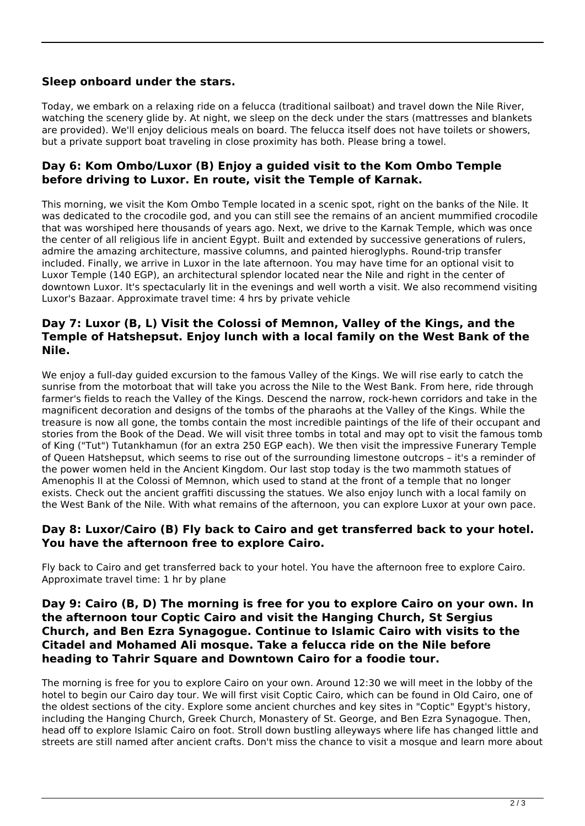## **Sleep onboard under the stars.**

Today, we embark on a relaxing ride on a felucca (traditional sailboat) and travel down the Nile River, watching the scenery glide by. At night, we sleep on the deck under the stars (mattresses and blankets are provided). We'll enjoy delicious meals on board. The felucca itself does not have toilets or showers, but a private support boat traveling in close proximity has both. Please bring a towel.

## **Day 6: Kom Ombo/Luxor (B) Enjoy a guided visit to the Kom Ombo Temple before driving to Luxor. En route, visit the Temple of Karnak.**

This morning, we visit the Kom Ombo Temple located in a scenic spot, right on the banks of the Nile. It was dedicated to the crocodile god, and you can still see the remains of an ancient mummified crocodile that was worshiped here thousands of years ago. Next, we drive to the Karnak Temple, which was once the center of all religious life in ancient Egypt. Built and extended by successive generations of rulers, admire the amazing architecture, massive columns, and painted hieroglyphs. Round-trip transfer included. Finally, we arrive in Luxor in the late afternoon. You may have time for an optional visit to Luxor Temple (140 EGP), an architectural splendor located near the Nile and right in the center of downtown Luxor. It's spectacularly lit in the evenings and well worth a visit. We also recommend visiting Luxor's Bazaar. Approximate travel time: 4 hrs by private vehicle

#### **Day 7: Luxor (B, L) Visit the Colossi of Memnon, Valley of the Kings, and the Temple of Hatshepsut. Enjoy lunch with a local family on the West Bank of the Nile.**

We enjoy a full-day guided excursion to the famous Valley of the Kings. We will rise early to catch the sunrise from the motorboat that will take you across the Nile to the West Bank. From here, ride through farmer's fields to reach the Valley of the Kings. Descend the narrow, rock-hewn corridors and take in the magnificent decoration and designs of the tombs of the pharaohs at the Valley of the Kings. While the treasure is now all gone, the tombs contain the most incredible paintings of the life of their occupant and stories from the Book of the Dead. We will visit three tombs in total and may opt to visit the famous tomb of King ("Tut") Tutankhamun (for an extra 250 EGP each). We then visit the impressive Funerary Temple of Queen Hatshepsut, which seems to rise out of the surrounding limestone outcrops – it's a reminder of the power women held in the Ancient Kingdom. Our last stop today is the two mammoth statues of Amenophis II at the Colossi of Memnon, which used to stand at the front of a temple that no longer exists. Check out the ancient graffiti discussing the statues. We also enjoy lunch with a local family on the West Bank of the Nile. With what remains of the afternoon, you can explore Luxor at your own pace.

#### **Day 8: Luxor/Cairo (B) Fly back to Cairo and get transferred back to your hotel. You have the afternoon free to explore Cairo.**

Fly back to Cairo and get transferred back to your hotel. You have the afternoon free to explore Cairo. Approximate travel time: 1 hr by plane

#### **Day 9: Cairo (B, D) The morning is free for you to explore Cairo on your own. In the afternoon tour Coptic Cairo and visit the Hanging Church, St Sergius Church, and Ben Ezra Synagogue. Continue to Islamic Cairo with visits to the Citadel and Mohamed Ali mosque. Take a felucca ride on the Nile before heading to Tahrir Square and Downtown Cairo for a foodie tour.**

The morning is free for you to explore Cairo on your own. Around 12:30 we will meet in the lobby of the hotel to begin our Cairo day tour. We will first visit Coptic Cairo, which can be found in Old Cairo, one of the oldest sections of the city. Explore some ancient churches and key sites in "Coptic" Egypt's history, including the Hanging Church, Greek Church, Monastery of St. George, and Ben Ezra Synagogue. Then, head off to explore Islamic Cairo on foot. Stroll down bustling alleyways where life has changed little and streets are still named after ancient crafts. Don't miss the chance to visit a mosque and learn more about